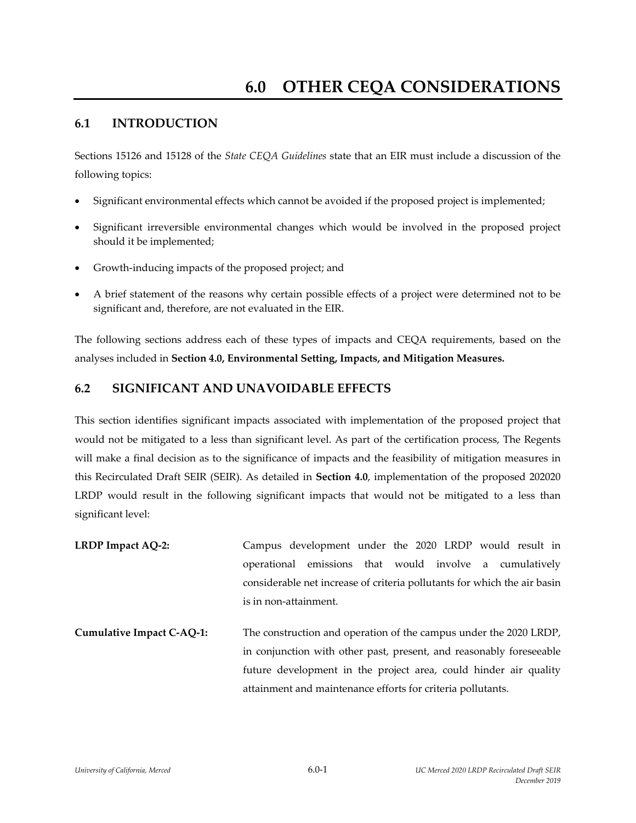## **6.1 INTRODUCTION**

Sections 15126 and 15128 of the *State CEQA Guidelines* state that an EIR must include a discussion of the following topics:

- Significant environmental effects which cannot be avoided if the proposed project is implemented;
- Significant irreversible environmental changes which would be involved in the proposed project should it be implemented;
- Growth‐inducing impacts of the proposed project; and
- A brief statement of the reasons why certain possible effects of a project were determined not to be significant and, therefore, are not evaluated in the EIR.

The following sections address each of these types of impacts and CEQA requirements, based on the analyses included in **Section 4.0, Environmental Setting, Impacts, and Mitigation Measures.**

## **6.2 SIGNIFICANT AND UNAVOIDABLE EFFECTS**

This section identifies significant impacts associated with implementation of the proposed project that would not be mitigated to a less than significant level. As part of the certification process, The Regents will make a final decision as to the significance of impacts and the feasibility of mitigation measures in this Recirculated Draft SEIR (SEIR). As detailed in **Section 4.0**, implementation of the proposed 202020 LRDP would result in the following significant impacts that would not be mitigated to a less than significant level:

- **LRDP Impact AQ‐2:** Campus development under the 2020 LRDP would result in operational emissions that would involve a cumulatively considerable net increase of criteria pollutants for which the air basin is in non‐attainment.
- **Cumulative Impact C‐AQ‐1:** The construction and operation of the campus under the 2020 LRDP, in conjunction with other past, present, and reasonably foreseeable future development in the project area, could hinder air quality attainment and maintenance efforts for criteria pollutants.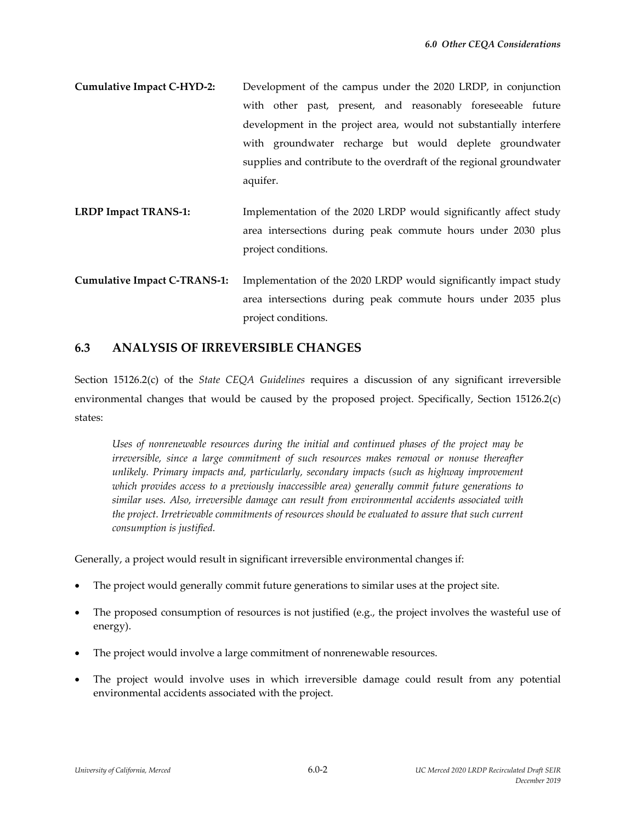- **Cumulative Impact C‐HYD‐2:**  Development of the campus under the 2020 LRDP, in conjunction with other past, present, and reasonably foreseeable future development in the project area, would not substantially interfere with groundwater recharge but would deplete groundwater supplies and contribute to the overdraft of the regional groundwater aquifer.
- **LRDP Impact TRANS‐1:**  Implementation of the 2020 LRDP would significantly affect study area intersections during peak commute hours under 2030 plus project conditions.
- **Cumulative Impact C‐TRANS‐1:** Implementation of the 2020 LRDP would significantly impact study area intersections during peak commute hours under 2035 plus project conditions.

### **6.3 ANALYSIS OF IRREVERSIBLE CHANGES**

Section 15126.2(c) of the *State CEQA Guidelines* requires a discussion of any significant irreversible environmental changes that would be caused by the proposed project. Specifically, Section 15126.2(c) states:

*Uses of nonrenewable resources during the initial and continued phases of the project may be irreversible, since a large commitment of such resources makes removal or nonuse thereafter unlikely. Primary impacts and, particularly, secondary impacts (such as highway improvement which provides access to a previously inaccessible area) generally commit future generations to similar uses. Also, irreversible damage can result from environmental accidents associated with the project. Irretrievable commitments of resources should be evaluated to assure that such current consumption is justified.*

Generally, a project would result in significant irreversible environmental changes if:

- The project would generally commit future generations to similar uses at the project site.
- The proposed consumption of resources is not justified (e.g., the project involves the wasteful use of energy).
- The project would involve a large commitment of nonrenewable resources.
- The project would involve uses in which irreversible damage could result from any potential environmental accidents associated with the project.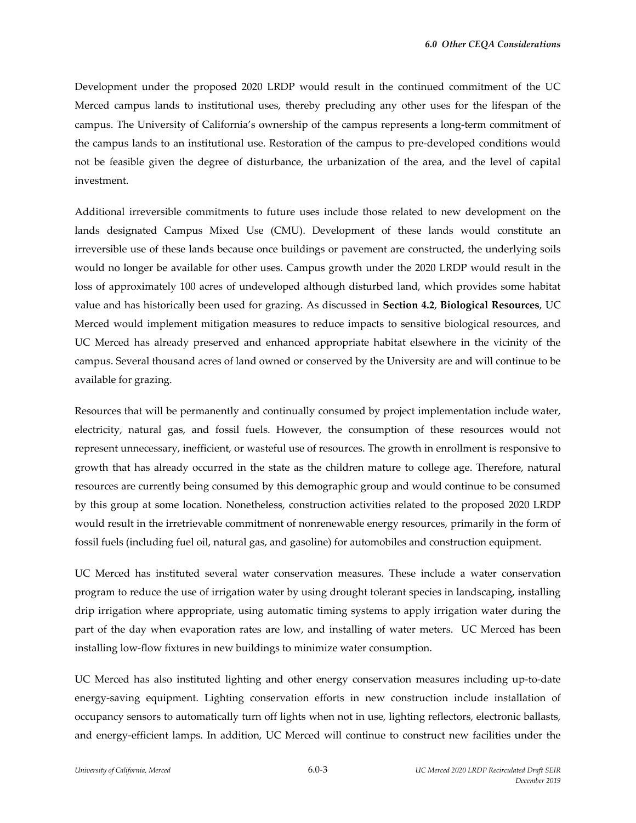Development under the proposed 2020 LRDP would result in the continued commitment of the UC Merced campus lands to institutional uses, thereby precluding any other uses for the lifespan of the campus. The University of California's ownership of the campus represents a long-term commitment of the campus lands to an institutional use. Restoration of the campus to pre‐developed conditions would not be feasible given the degree of disturbance, the urbanization of the area, and the level of capital investment.

Additional irreversible commitments to future uses include those related to new development on the lands designated Campus Mixed Use (CMU). Development of these lands would constitute an irreversible use of these lands because once buildings or pavement are constructed, the underlying soils would no longer be available for other uses. Campus growth under the 2020 LRDP would result in the loss of approximately 100 acres of undeveloped although disturbed land, which provides some habitat value and has historically been used for grazing. As discussed in **Section 4.2**, **Biological Resources**, UC Merced would implement mitigation measures to reduce impacts to sensitive biological resources, and UC Merced has already preserved and enhanced appropriate habitat elsewhere in the vicinity of the campus. Several thousand acres of land owned or conserved by the University are and will continue to be available for grazing.

Resources that will be permanently and continually consumed by project implementation include water, electricity, natural gas, and fossil fuels. However, the consumption of these resources would not represent unnecessary, inefficient, or wasteful use of resources. The growth in enrollment is responsive to growth that has already occurred in the state as the children mature to college age. Therefore, natural resources are currently being consumed by this demographic group and would continue to be consumed by this group at some location. Nonetheless, construction activities related to the proposed 2020 LRDP would result in the irretrievable commitment of nonrenewable energy resources, primarily in the form of fossil fuels (including fuel oil, natural gas, and gasoline) for automobiles and construction equipment.

UC Merced has instituted several water conservation measures. These include a water conservation program to reduce the use of irrigation water by using drought tolerant species in landscaping, installing drip irrigation where appropriate, using automatic timing systems to apply irrigation water during the part of the day when evaporation rates are low, and installing of water meters. UC Merced has been installing low‐flow fixtures in new buildings to minimize water consumption.

UC Merced has also instituted lighting and other energy conservation measures including up‐to‐date energy-saving equipment. Lighting conservation efforts in new construction include installation of occupancy sensors to automatically turn off lights when not in use, lighting reflectors, electronic ballasts, and energy-efficient lamps. In addition, UC Merced will continue to construct new facilities under the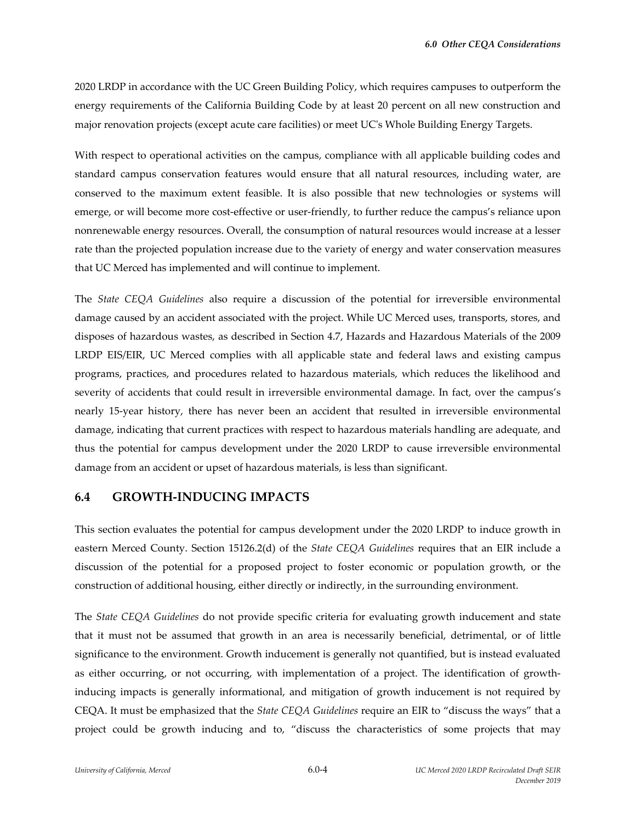2020 LRDP in accordance with the UC Green Building Policy, which requires campuses to outperform the energy requirements of the California Building Code by at least 20 percent on all new construction and major renovation projects (except acute care facilities) or meet UCʹs Whole Building Energy Targets.

With respect to operational activities on the campus, compliance with all applicable building codes and standard campus conservation features would ensure that all natural resources, including water, are conserved to the maximum extent feasible. It is also possible that new technologies or systems will emerge, or will become more cost-effective or user-friendly, to further reduce the campus's reliance upon nonrenewable energy resources. Overall, the consumption of natural resources would increase at a lesser rate than the projected population increase due to the variety of energy and water conservation measures that UC Merced has implemented and will continue to implement.

The *State CEQA Guidelines* also require a discussion of the potential for irreversible environmental damage caused by an accident associated with the project. While UC Merced uses, transports, stores, and disposes of hazardous wastes, as described in Section 4.7, Hazards and Hazardous Materials of the 2009 LRDP EIS/EIR, UC Merced complies with all applicable state and federal laws and existing campus programs, practices, and procedures related to hazardous materials, which reduces the likelihood and severity of accidents that could result in irreversible environmental damage. In fact, over the campus's nearly 15‐year history, there has never been an accident that resulted in irreversible environmental damage, indicating that current practices with respect to hazardous materials handling are adequate, and thus the potential for campus development under the 2020 LRDP to cause irreversible environmental damage from an accident or upset of hazardous materials, is less than significant.

#### **6.4 GROWTH‐INDUCING IMPACTS**

This section evaluates the potential for campus development under the 2020 LRDP to induce growth in eastern Merced County. Section 15126.2(d) of the *State CEQA Guidelines* requires that an EIR include a discussion of the potential for a proposed project to foster economic or population growth, or the construction of additional housing, either directly or indirectly, in the surrounding environment.

The *State CEQA Guidelines* do not provide specific criteria for evaluating growth inducement and state that it must not be assumed that growth in an area is necessarily beneficial, detrimental, or of little significance to the environment. Growth inducement is generally not quantified, but is instead evaluated as either occurring, or not occurring, with implementation of a project. The identification of growth‐ inducing impacts is generally informational, and mitigation of growth inducement is not required by CEQA. It must be emphasized that the *State CEQA Guidelines* require an EIR to "discuss the ways" that a project could be growth inducing and to, "discuss the characteristics of some projects that may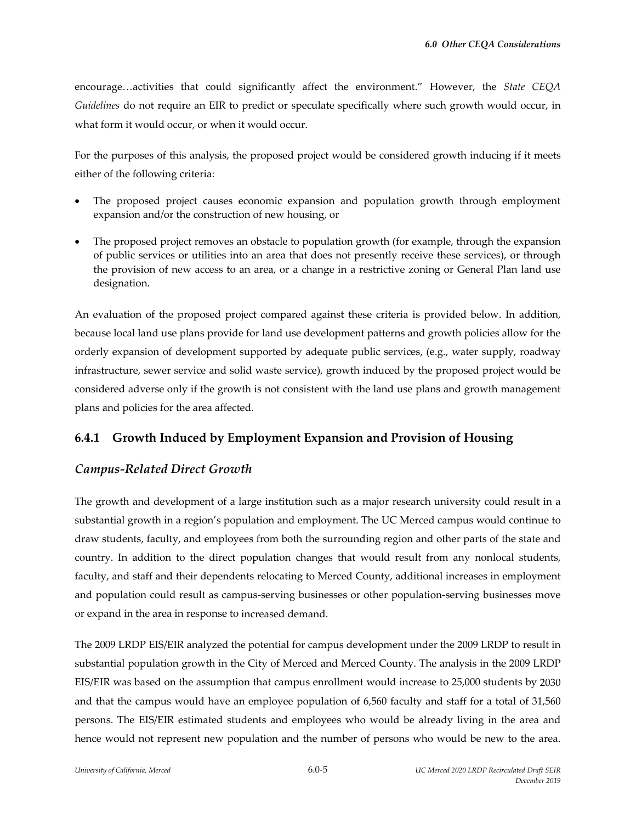encourage…activities that could significantly affect the environment." However, the *State CEQA Guidelines* do not require an EIR to predict or speculate specifically where such growth would occur, in what form it would occur, or when it would occur.

For the purposes of this analysis, the proposed project would be considered growth inducing if it meets either of the following criteria:

- The proposed project causes economic expansion and population growth through employment expansion and/or the construction of new housing, or
- The proposed project removes an obstacle to population growth (for example, through the expansion of public services or utilities into an area that does not presently receive these services), or through the provision of new access to an area, or a change in a restrictive zoning or General Plan land use designation.

An evaluation of the proposed project compared against these criteria is provided below. In addition, because local land use plans provide for land use development patterns and growth policies allow for the orderly expansion of development supported by adequate public services, (e.g., water supply, roadway infrastructure, sewer service and solid waste service), growth induced by the proposed project would be considered adverse only if the growth is not consistent with the land use plans and growth management plans and policies for the area affected.

## **6.4.1 Growth Induced by Employment Expansion and Provision of Housing**

## *Campus‐Related Direct Growth*

The growth and development of a large institution such as a major research university could result in a substantial growth in a region's population and employment. The UC Merced campus would continue to draw students, faculty, and employees from both the surrounding region and other parts of the state and country. In addition to the direct population changes that would result from any nonlocal students, faculty, and staff and their dependents relocating to Merced County, additional increases in employment and population could result as campus‐serving businesses or other population‐serving businesses move or expand in the area in response to increased demand.

The 2009 LRDP EIS/EIR analyzed the potential for campus development under the 2009 LRDP to result in substantial population growth in the City of Merced and Merced County. The analysis in the 2009 LRDP EIS/EIR was based on the assumption that campus enrollment would increase to 25,000 students by 2030 and that the campus would have an employee population of 6,560 faculty and staff for a total of 31,560 persons. The EIS/EIR estimated students and employees who would be already living in the area and hence would not represent new population and the number of persons who would be new to the area.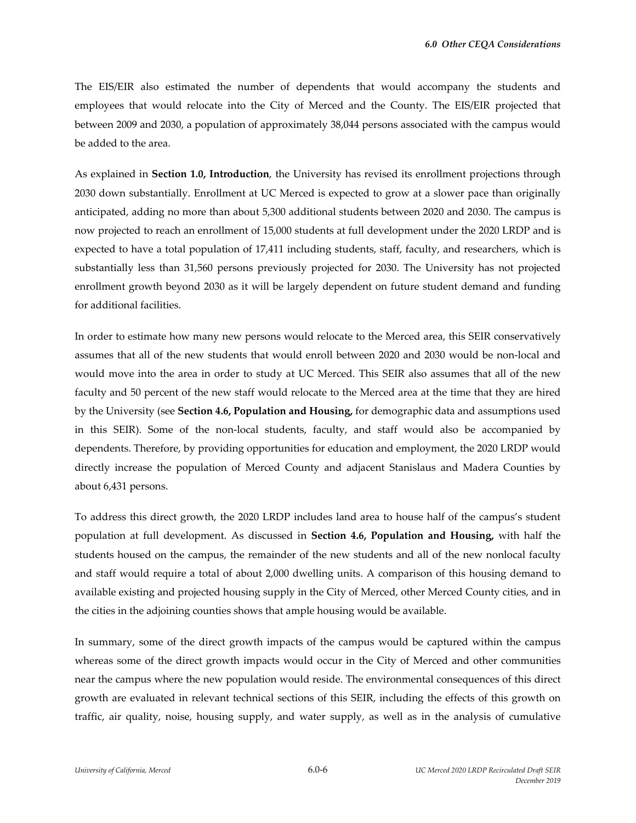The EIS/EIR also estimated the number of dependents that would accompany the students and employees that would relocate into the City of Merced and the County. The EIS/EIR projected that between 2009 and 2030, a population of approximately 38,044 persons associated with the campus would be added to the area.

As explained in **Section 1.0, Introduction**, the University has revised its enrollment projections through 2030 down substantially. Enrollment at UC Merced is expected to grow at a slower pace than originally anticipated, adding no more than about 5,300 additional students between 2020 and 2030. The campus is now projected to reach an enrollment of 15,000 students at full development under the 2020 LRDP and is expected to have a total population of 17,411 including students, staff, faculty, and researchers, which is substantially less than 31,560 persons previously projected for 2030. The University has not projected enrollment growth beyond 2030 as it will be largely dependent on future student demand and funding for additional facilities.

In order to estimate how many new persons would relocate to the Merced area, this SEIR conservatively assumes that all of the new students that would enroll between 2020 and 2030 would be non‐local and would move into the area in order to study at UC Merced. This SEIR also assumes that all of the new faculty and 50 percent of the new staff would relocate to the Merced area at the time that they are hired by the University (see **Section 4.6, Population and Housing,** for demographic data and assumptions used in this SEIR). Some of the non-local students, faculty, and staff would also be accompanied by dependents. Therefore, by providing opportunities for education and employment, the 2020 LRDP would directly increase the population of Merced County and adjacent Stanislaus and Madera Counties by about 6,431 persons.

To address this direct growth, the 2020 LRDP includes land area to house half of the campus's student population at full development. As discussed in **Section 4.6, Population and Housing,** with half the students housed on the campus, the remainder of the new students and all of the new nonlocal faculty and staff would require a total of about 2,000 dwelling units. A comparison of this housing demand to available existing and projected housing supply in the City of Merced, other Merced County cities, and in the cities in the adjoining counties shows that ample housing would be available.

In summary, some of the direct growth impacts of the campus would be captured within the campus whereas some of the direct growth impacts would occur in the City of Merced and other communities near the campus where the new population would reside. The environmental consequences of this direct growth are evaluated in relevant technical sections of this SEIR, including the effects of this growth on traffic, air quality, noise, housing supply, and water supply, as well as in the analysis of cumulative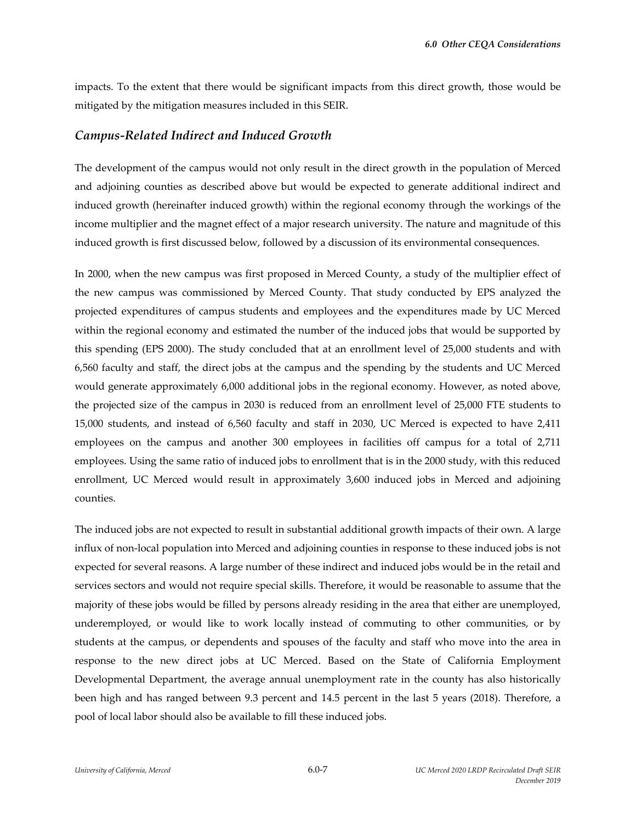impacts. To the extent that there would be significant impacts from this direct growth, those would be mitigated by the mitigation measures included in this SEIR.

#### *Campus‐Related Indirect and Induced Growth*

The development of the campus would not only result in the direct growth in the population of Merced and adjoining counties as described above but would be expected to generate additional indirect and induced growth (hereinafter induced growth) within the regional economy through the workings of the income multiplier and the magnet effect of a major research university. The nature and magnitude of this induced growth is first discussed below, followed by a discussion of its environmental consequences.

In 2000, when the new campus was first proposed in Merced County, a study of the multiplier effect of the new campus was commissioned by Merced County. That study conducted by EPS analyzed the projected expenditures of campus students and employees and the expenditures made by UC Merced within the regional economy and estimated the number of the induced jobs that would be supported by this spending (EPS 2000). The study concluded that at an enrollment level of 25,000 students and with 6,560 faculty and staff, the direct jobs at the campus and the spending by the students and UC Merced would generate approximately 6,000 additional jobs in the regional economy. However, as noted above, the projected size of the campus in 2030 is reduced from an enrollment level of 25,000 FTE students to 15,000 students, and instead of 6,560 faculty and staff in 2030, UC Merced is expected to have 2,411 employees on the campus and another 300 employees in facilities off campus for a total of 2,711 employees. Using the same ratio of induced jobs to enrollment that is in the 2000 study, with this reduced enrollment, UC Merced would result in approximately 3,600 induced jobs in Merced and adjoining counties.

The induced jobs are not expected to result in substantial additional growth impacts of their own. A large influx of non‐local population into Merced and adjoining counties in response to these induced jobs is not expected for several reasons. A large number of these indirect and induced jobs would be in the retail and services sectors and would not require special skills. Therefore, it would be reasonable to assume that the majority of these jobs would be filled by persons already residing in the area that either are unemployed, underemployed, or would like to work locally instead of commuting to other communities, or by students at the campus, or dependents and spouses of the faculty and staff who move into the area in response to the new direct jobs at UC Merced. Based on the State of California Employment Developmental Department, the average annual unemployment rate in the county has also historically been high and has ranged between 9.3 percent and 14.5 percent in the last 5 years (2018). Therefore, a pool of local labor should also be available to fill these induced jobs.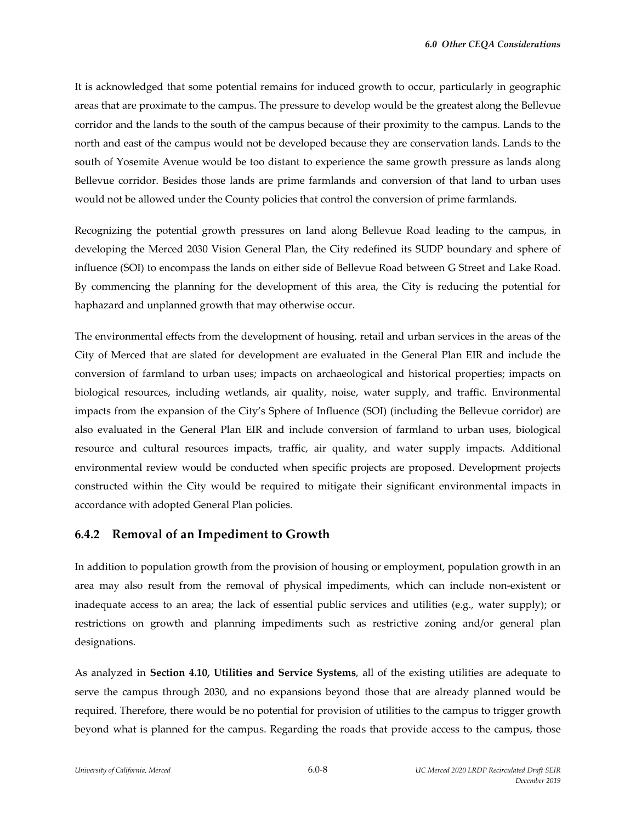It is acknowledged that some potential remains for induced growth to occur, particularly in geographic areas that are proximate to the campus. The pressure to develop would be the greatest along the Bellevue corridor and the lands to the south of the campus because of their proximity to the campus. Lands to the north and east of the campus would not be developed because they are conservation lands. Lands to the south of Yosemite Avenue would be too distant to experience the same growth pressure as lands along Bellevue corridor. Besides those lands are prime farmlands and conversion of that land to urban uses would not be allowed under the County policies that control the conversion of prime farmlands.

Recognizing the potential growth pressures on land along Bellevue Road leading to the campus, in developing the Merced 2030 Vision General Plan, the City redefined its SUDP boundary and sphere of influence (SOI) to encompass the lands on either side of Bellevue Road between G Street and Lake Road. By commencing the planning for the development of this area, the City is reducing the potential for haphazard and unplanned growth that may otherwise occur.

The environmental effects from the development of housing, retail and urban services in the areas of the City of Merced that are slated for development are evaluated in the General Plan EIR and include the conversion of farmland to urban uses; impacts on archaeological and historical properties; impacts on biological resources, including wetlands, air quality, noise, water supply, and traffic. Environmental impacts from the expansion of the City's Sphere of Influence (SOI) (including the Bellevue corridor) are also evaluated in the General Plan EIR and include conversion of farmland to urban uses, biological resource and cultural resources impacts, traffic, air quality, and water supply impacts. Additional environmental review would be conducted when specific projects are proposed. Development projects constructed within the City would be required to mitigate their significant environmental impacts in accordance with adopted General Plan policies.

#### **6.4.2 Removal of an Impediment to Growth**

In addition to population growth from the provision of housing or employment, population growth in an area may also result from the removal of physical impediments, which can include non‐existent or inadequate access to an area; the lack of essential public services and utilities (e.g., water supply); or restrictions on growth and planning impediments such as restrictive zoning and/or general plan designations.

As analyzed in **Section 4.10, Utilities and Service Systems**, all of the existing utilities are adequate to serve the campus through 2030, and no expansions beyond those that are already planned would be required. Therefore, there would be no potential for provision of utilities to the campus to trigger growth beyond what is planned for the campus. Regarding the roads that provide access to the campus, those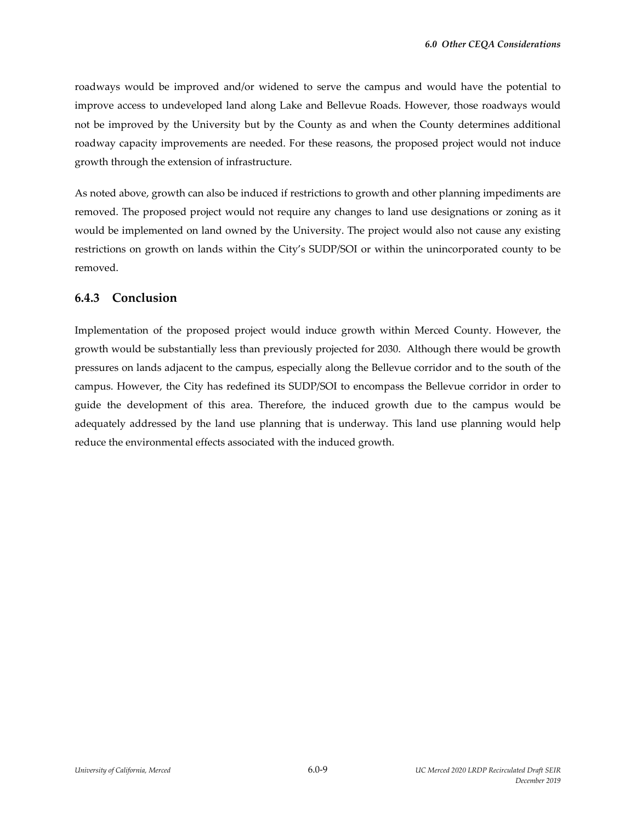roadways would be improved and/or widened to serve the campus and would have the potential to improve access to undeveloped land along Lake and Bellevue Roads. However, those roadways would not be improved by the University but by the County as and when the County determines additional roadway capacity improvements are needed. For these reasons, the proposed project would not induce growth through the extension of infrastructure.

As noted above, growth can also be induced if restrictions to growth and other planning impediments are removed. The proposed project would not require any changes to land use designations or zoning as it would be implemented on land owned by the University. The project would also not cause any existing restrictions on growth on lands within the City's SUDP/SOI or within the unincorporated county to be removed.

### **6.4.3 Conclusion**

Implementation of the proposed project would induce growth within Merced County. However, the growth would be substantially less than previously projected for 2030. Although there would be growth pressures on lands adjacent to the campus, especially along the Bellevue corridor and to the south of the campus. However, the City has redefined its SUDP/SOI to encompass the Bellevue corridor in order to guide the development of this area. Therefore, the induced growth due to the campus would be adequately addressed by the land use planning that is underway. This land use planning would help reduce the environmental effects associated with the induced growth.